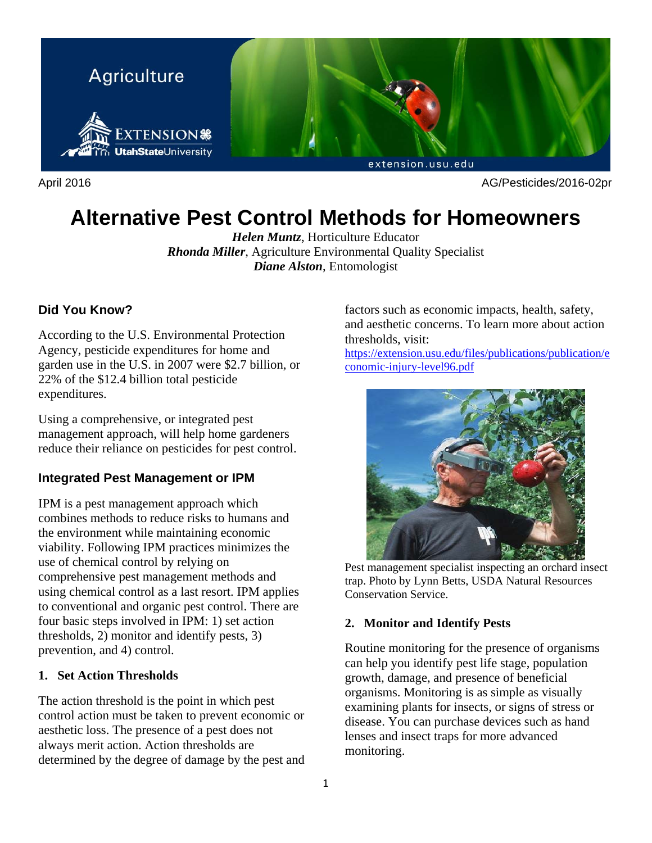

April 2016 AG/Pesticides/2016-02pr

# **Alternative Pest Control Methods for Homeowners**

*Helen Muntz*, Horticulture Educator *Rhonda Miller*, Agriculture Environmental Quality Specialist *Diane Alston*, Entomologist

# **Did You Know?**

According to the U.S. Environmental Protection Agency, pesticide expenditures for home and garden use in the U.S. in 2007 were \$2.7 billion, or 22% of the \$12.4 billion total pesticide expenditures.

Using a comprehensive, or integrated pest management approach, will help home gardeners reduce their reliance on pesticides for pest control.

#### **Integrated Pest Management or IPM**

IPM is a pest management approach which combines methods to reduce risks to humans and the environment while maintaining economic viability. Following IPM practices minimizes the use of chemical control by relying on comprehensive pest management methods and using chemical control as a last resort. IPM applies to conventional and organic pest control. There are four basic steps involved in IPM: 1) set action thresholds, 2) monitor and identify pests, 3) prevention, and 4) control.

#### **1. Set Action Thresholds**

The action threshold is the point in which pest control action must be taken to prevent economic or aesthetic loss. The presence of a pest does not always merit action. Action thresholds are determined by the degree of damage by the pest and factors such as economic impacts, health, safety, and aesthetic concerns. To learn more about action thresholds, visit:

https://extension.usu.edu/files/publications/publication/e conomic-injury-level96.pdf



Pest management specialist inspecting an orchard insect trap. Photo by Lynn Betts, USDA Natural Resources Conservation Service.

#### **2. Monitor and Identify Pests**

Routine monitoring for the presence of organisms can help you identify pest life stage, population growth, damage, and presence of beneficial organisms. Monitoring is as simple as visually examining plants for insects, or signs of stress or disease. You can purchase devices such as hand lenses and insect traps for more advanced monitoring.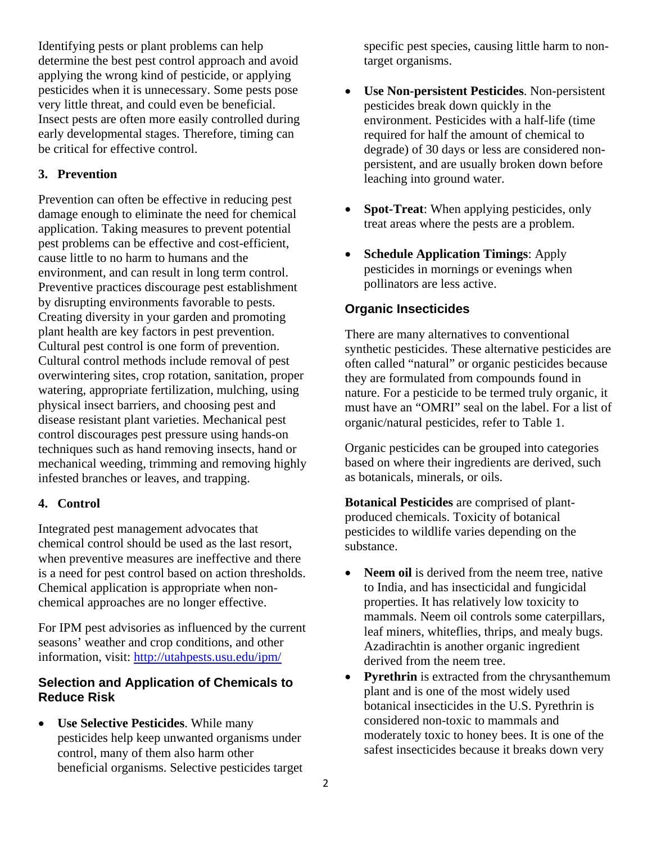Identifying pests or plant problems can help determine the best pest control approach and avoid applying the wrong kind of pesticide, or applying pesticides when it is unnecessary. Some pests pose very little threat, and could even be beneficial. Insect pests are often more easily controlled during early developmental stages. Therefore, timing can be critical for effective control.

#### **3. Prevention**

Prevention can often be effective in reducing pest damage enough to eliminate the need for chemical application. Taking measures to prevent potential pest problems can be effective and cost-efficient, cause little to no harm to humans and the environment, and can result in long term control. Preventive practices discourage pest establishment by disrupting environments favorable to pests. Creating diversity in your garden and promoting plant health are key factors in pest prevention. Cultural pest control is one form of prevention. Cultural control methods include removal of pest overwintering sites, crop rotation, sanitation, proper watering, appropriate fertilization, mulching, using physical insect barriers, and choosing pest and disease resistant plant varieties. Mechanical pest control discourages pest pressure using hands-on techniques such as hand removing insects, hand or mechanical weeding, trimming and removing highly infested branches or leaves, and trapping.

#### **4. Control**

Integrated pest management advocates that chemical control should be used as the last resort, when preventive measures are ineffective and there is a need for pest control based on action thresholds. Chemical application is appropriate when nonchemical approaches are no longer effective.

For IPM pest advisories as influenced by the current seasons' weather and crop conditions, and other information, visit: http://utahpests.usu.edu/ipm/

#### **Selection and Application of Chemicals to Reduce Risk**

 **Use Selective Pesticides**. While many pesticides help keep unwanted organisms under control, many of them also harm other beneficial organisms. Selective pesticides target

specific pest species, causing little harm to nontarget organisms.

- **Use Non-persistent Pesticides**. Non-persistent pesticides break down quickly in the environment. Pesticides with a half-life (time required for half the amount of chemical to degrade) of 30 days or less are considered nonpersistent, and are usually broken down before leaching into ground water.
- **Spot-Treat**: When applying pesticides, only treat areas where the pests are a problem.
- **Schedule Application Timings**: Apply pesticides in mornings or evenings when pollinators are less active.

#### **Organic Insecticides**

There are many alternatives to conventional synthetic pesticides. These alternative pesticides are often called "natural" or organic pesticides because they are formulated from compounds found in nature. For a pesticide to be termed truly organic, it must have an "OMRI" seal on the label. For a list of organic/natural pesticides, refer to Table 1.

Organic pesticides can be grouped into categories based on where their ingredients are derived, such as botanicals, minerals, or oils.

**Botanical Pesticides** are comprised of plantproduced chemicals. Toxicity of botanical pesticides to wildlife varies depending on the substance.

- **Neem oil** is derived from the neem tree, native to India, and has insecticidal and fungicidal properties. It has relatively low toxicity to mammals. Neem oil controls some caterpillars, leaf miners, whiteflies, thrips, and mealy bugs. Azadirachtin is another organic ingredient derived from the neem tree.
- Pyrethrin is extracted from the chrysanthemum plant and is one of the most widely used botanical insecticides in the U.S. Pyrethrin is considered non-toxic to mammals and moderately toxic to honey bees. It is one of the safest insecticides because it breaks down very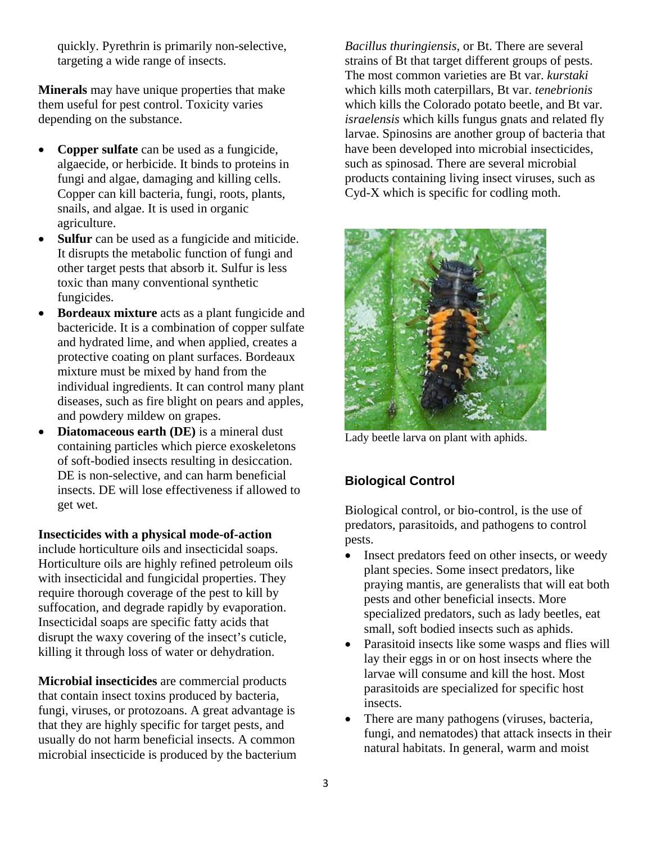quickly. Pyrethrin is primarily non-selective, targeting a wide range of insects.

**Minerals** may have unique properties that make them useful for pest control. Toxicity varies depending on the substance.

- **Copper sulfate** can be used as a fungicide, algaecide, or herbicide. It binds to proteins in fungi and algae, damaging and killing cells. Copper can kill bacteria, fungi, roots, plants, snails, and algae. It is used in organic agriculture.
- **Sulfur** can be used as a fungicide and miticide. It disrupts the metabolic function of fungi and other target pests that absorb it. Sulfur is less toxic than many conventional synthetic fungicides.
- **Bordeaux mixture** acts as a plant fungicide and bactericide. It is a combination of copper sulfate and hydrated lime, and when applied, creates a protective coating on plant surfaces. Bordeaux mixture must be mixed by hand from the individual ingredients. It can control many plant diseases, such as fire blight on pears and apples, and powdery mildew on grapes.
- **Diatomaceous earth (DE)** is a mineral dust containing particles which pierce exoskeletons of soft-bodied insects resulting in desiccation. DE is non-selective, and can harm beneficial insects. DE will lose effectiveness if allowed to get wet.

**Insecticides with a physical mode-of-action** 

include horticulture oils and insecticidal soaps. Horticulture oils are highly refined petroleum oils with insecticidal and fungicidal properties. They require thorough coverage of the pest to kill by suffocation, and degrade rapidly by evaporation. Insecticidal soaps are specific fatty acids that disrupt the waxy covering of the insect's cuticle, killing it through loss of water or dehydration.

**Microbial insecticides** are commercial products that contain insect toxins produced by bacteria, fungi, viruses, or protozoans. A great advantage is that they are highly specific for target pests, and usually do not harm beneficial insects. A common microbial insecticide is produced by the bacterium *Bacillus thuringiensis*, or Bt. There are several strains of Bt that target different groups of pests. The most common varieties are Bt var. *kurstaki* which kills moth caterpillars, Bt var. *tenebrionis* which kills the Colorado potato beetle, and Bt var. *israelensis* which kills fungus gnats and related fly larvae. Spinosins are another group of bacteria that have been developed into microbial insecticides, such as spinosad. There are several microbial products containing living insect viruses, such as Cyd-X which is specific for codling moth.



Lady beetle larva on plant with aphids.

# **Biological Control**

Biological control, or bio-control, is the use of predators, parasitoids, and pathogens to control pests.

- Insect predators feed on other insects, or weedy plant species. Some insect predators, like praying mantis, are generalists that will eat both pests and other beneficial insects. More specialized predators, such as lady beetles, eat small, soft bodied insects such as aphids.
- Parasitoid insects like some wasps and flies will lay their eggs in or on host insects where the larvae will consume and kill the host. Most parasitoids are specialized for specific host insects.
- There are many pathogens (viruses, bacteria, fungi, and nematodes) that attack insects in their natural habitats. In general, warm and moist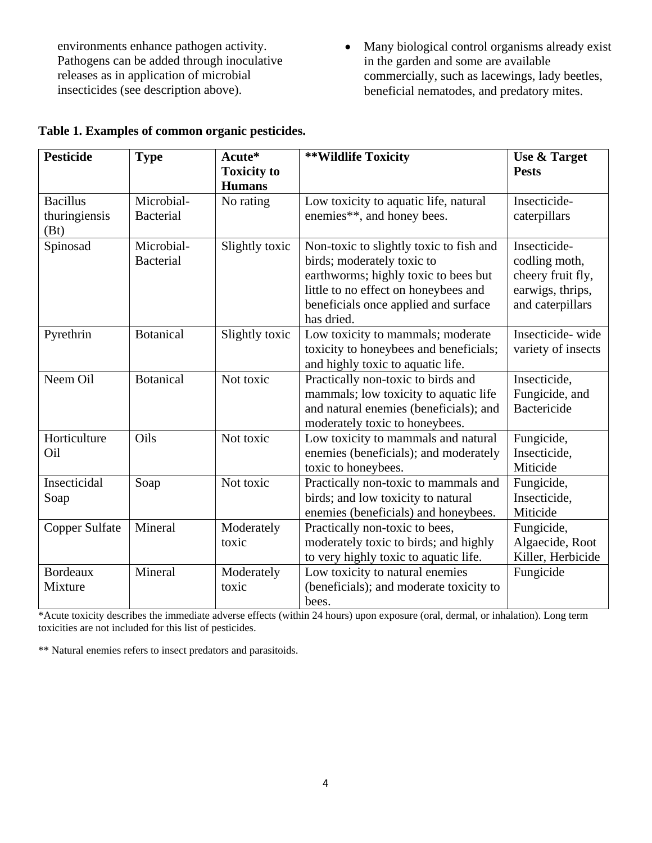environments enhance pathogen activity. Pathogens can be added through inoculative releases as in application of microbial insecticides (see description above).

• Many biological control organisms already exist in the garden and some are available commercially, such as lacewings, lady beetles, beneficial nematodes, and predatory mites.

| <b>Pesticide</b>                         | <b>Type</b>                    | Acute*<br><b>Toxicity to</b><br><b>Humans</b> | **Wildlife Toxicity                                                                                                                                                                                         | <b>Use &amp; Target</b><br><b>Pests</b>                                                    |
|------------------------------------------|--------------------------------|-----------------------------------------------|-------------------------------------------------------------------------------------------------------------------------------------------------------------------------------------------------------------|--------------------------------------------------------------------------------------------|
| <b>Bacillus</b><br>thuringiensis<br>(Bt) | Microbial-<br><b>Bacterial</b> | No rating                                     | Low toxicity to aquatic life, natural<br>enemies**, and honey bees.                                                                                                                                         | Insecticide-<br>caterpillars                                                               |
| Spinosad                                 | Microbial-<br><b>Bacterial</b> | Slightly toxic                                | Non-toxic to slightly toxic to fish and<br>birds; moderately toxic to<br>earthworms; highly toxic to bees but<br>little to no effect on honeybees and<br>beneficials once applied and surface<br>has dried. | Insecticide-<br>codling moth,<br>cheery fruit fly,<br>earwigs, thrips,<br>and caterpillars |
| Pyrethrin                                | <b>Botanical</b>               | Slightly toxic                                | Low toxicity to mammals; moderate<br>toxicity to honeybees and beneficials;<br>and highly toxic to aquatic life.                                                                                            | Insecticide-wide<br>variety of insects                                                     |
| Neem Oil                                 | <b>Botanical</b>               | Not toxic                                     | Practically non-toxic to birds and<br>mammals; low toxicity to aquatic life<br>and natural enemies (beneficials); and<br>moderately toxic to honeybees.                                                     | Insecticide,<br>Fungicide, and<br>Bactericide                                              |
| Horticulture<br>Oil                      | Oils                           | Not toxic                                     | Low toxicity to mammals and natural<br>enemies (beneficials); and moderately<br>toxic to honeybees.                                                                                                         | Fungicide,<br>Insecticide,<br>Miticide                                                     |
| Insecticidal<br>Soap                     | Soap                           | Not toxic                                     | Practically non-toxic to mammals and<br>birds; and low toxicity to natural<br>enemies (beneficials) and honeybees.                                                                                          | Fungicide,<br>Insecticide,<br>Miticide                                                     |
| Copper Sulfate                           | Mineral                        | Moderately<br>toxic                           | Practically non-toxic to bees,<br>moderately toxic to birds; and highly<br>to very highly toxic to aquatic life.                                                                                            | Fungicide,<br>Algaecide, Root<br>Killer, Herbicide                                         |
| <b>Bordeaux</b><br>Mixture               | Mineral                        | Moderately<br>toxic                           | Low toxicity to natural enemies<br>(beneficials); and moderate toxicity to<br>bees.                                                                                                                         | Fungicide                                                                                  |

# **Table 1. Examples of common organic pesticides.**

\*Acute toxicity describes the immediate adverse effects (within 24 hours) upon exposure (oral, dermal, or inhalation). Long term toxicities are not included for this list of pesticides.

\*\* Natural enemies refers to insect predators and parasitoids.